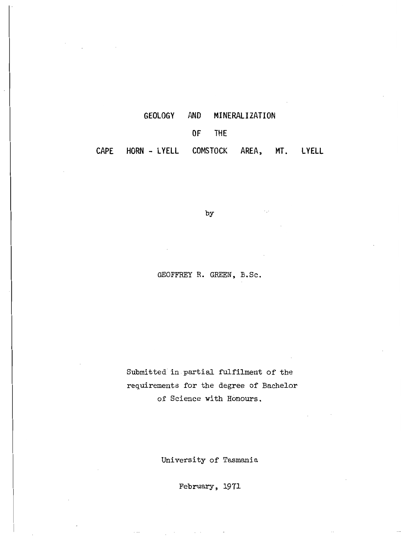| GEOLOGY AND MINERALIZATION               |        |  |  |
|------------------------------------------|--------|--|--|
|                                          | OF THE |  |  |
| CAPE HORN-LYELL COMSTOCK AREA, MT. LYELL |        |  |  |

by

 $\epsilon_{\rm eff}$ 

GEOFFREY R. GREEN, B.Sc.

Submitted in partial fulfilment of the requirements for the degree of Bachelor of Science with Honours.

University of Tasmania

February, 1971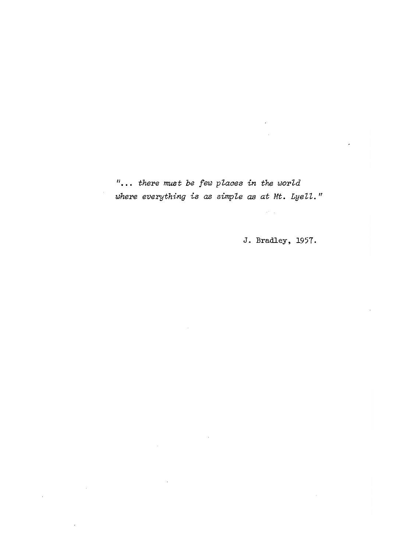*/1 there must be few places in the world* where everything is as simple as at Mt. Lyell."

 $\sim$ 

 $\sim 10^{-11}$ 

 $\epsilon$ 

J. Bradley, 1957.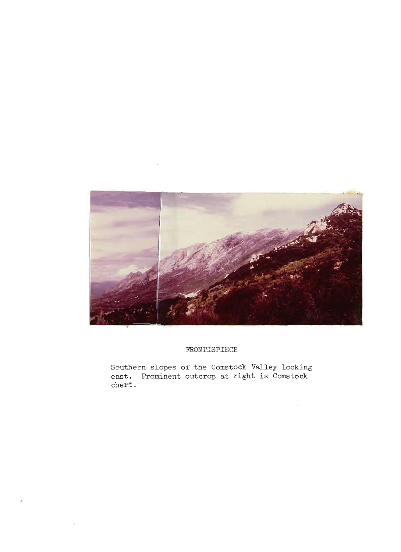

### FRONTISPIECE

Southern slopes of the Comstock Valley looking east. Prominent outcrop at right **is** Comstock **chert.**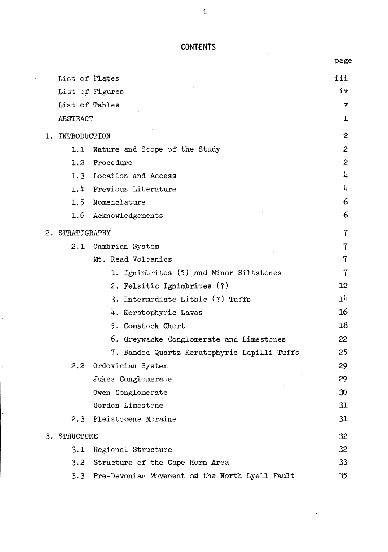# **CONTENTS**

|    |                 |                                                | page    |
|----|-----------------|------------------------------------------------|---------|
|    | List of Plates  |                                                | iii     |
|    |                 | List of Figures                                | iv      |
|    | List of Tables  |                                                | v       |
|    | ABSTRACT        |                                                | ı       |
| ı. | INTRODUCTION    |                                                | 2       |
|    | 1.1             | Nature and Scope of the Study                  | 2       |
|    |                 | 1.2 Procedure                                  | 2       |
|    |                 | 1.3 Location and Access                        | 4       |
|    |                 | 1.4 Previous Literature                        | 4       |
|    |                 | 1.5 Nomenclature                               | 6       |
|    |                 | 1.6 Acknowledgements                           | 6       |
|    | 2. STRATIGRAPHY |                                                | 7       |
|    | 2.1             | Cambrian System                                | 7       |
|    |                 | Mt. Read Volcanics                             | 7       |
|    |                 | 1. Ignimbrites (?) and Minor Siltstones        | 7       |
|    |                 | 2. Felsitic Ignimbrites (?)                    | $12 \,$ |
|    |                 | 3. Intermediate Lithic (?) Tuffs               | 14      |
|    |                 | 4. Keratophyric Lavas                          | 16      |
|    |                 | 5. Comstock Chert                              | 18      |
|    |                 | 6. Greywacke Conglomerate and Limestones       | 22      |
|    |                 | 7. Banded Quartz Keratophyric Lapilli Tuffs    | 25      |
|    |                 | 2.2 Ordovician System                          | 29      |
|    |                 | Jukes Conglomerate                             | 29      |
|    |                 | Owen Conglomerate                              | 30      |
|    |                 | Gordon Limestone                               | 31      |
|    | $2.3 -$         | Pleistocene Moraine                            | 31      |
|    | 3. STRUCTURE    |                                                | 32      |
|    | 3.1             | Regional Structure                             | 32      |
|    | 3.2             | Structure of the Cape Horn Area                | 33      |
|    | 3.3             | Pre-Devonian Movement of the North Lyell Fault | 35      |

i

 $\ddot{\phantom{a}}$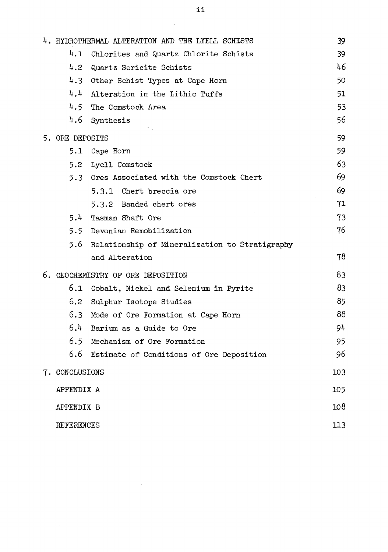|                   | 4. HYDROTHERMAL ALTERATION AND THE LYELL SCHISTS | 39  |
|-------------------|--------------------------------------------------|-----|
| 4.1               | Chlorites and Quartz Chlorite Schists            | 39  |
| 4.2 <sub>1</sub>  | Quartz Sericite Schists                          | 46  |
| 4.3               | Other Schist Types at Cape Horn                  | 50  |
| 4.4               | Alteration in the Lithic Tuffs                   | 51  |
|                   | 4.5 The Comstock Area                            | 53  |
|                   | 4.6 Synthesis                                    | 56  |
| 5. ORE DEPOSITS   |                                                  | 59  |
|                   | 5.1 Cape Horn                                    | 59  |
| 5.2               | Lyell Comstock                                   | 63  |
|                   | 5.3 Ores Associated with the Comstock Chert      | 69  |
|                   | 5.3.1 Chert breccia ore                          | 69  |
|                   | 5.3.2 Banded chert ores                          | 71  |
| 5.4               | Tasman Shaft Ore                                 | 73  |
|                   | 5.5 Devonian Remobilization                      | 76  |
| 5.6               | Relationship of Mineralization to Stratigraphy   |     |
|                   | and Alteration                                   | 78  |
|                   | 6. GEOCHEMISTRY OF ORE DEPOSITION                | 83  |
| 6.1               | Cobalt, Nickel and Selenium in Pyrite            | 83  |
| 6.2               | Sulphur Isotope Studies                          | 85  |
| 6.3               | Mode of Ore Formation at Cape Horn               | 88  |
| 6.4               | Barium as a Guide to Ore                         | 94  |
| 6.5               | Mechanism of Ore Formation                       | 95  |
| 6.6               | Estimate of Conditions of Ore Deposition         | 96  |
| 7. CONCLUSIONS    |                                                  | 103 |
| APPENDIX A        |                                                  | 105 |
| APPENDIX B        |                                                  | 108 |
| <b>REFERENCES</b> |                                                  | 113 |

 $\sim$   $\alpha$ 

 $\mathcal{A}^{\pm}$ 

 $\hat{\boldsymbol{\beta}}$ 

ii

 $\hat{\mathcal{A}}$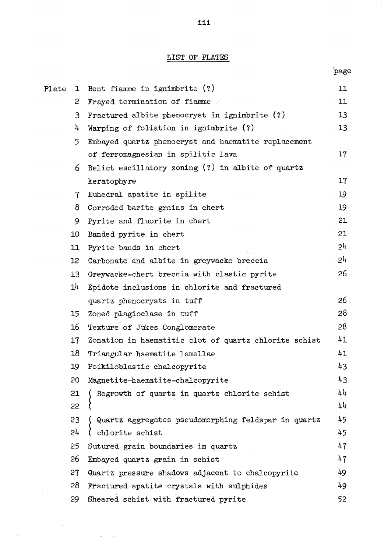## LIST OF PLATES

page

 $\mathbb{R}^2$ 

 $\bar{z}$ 

| Plate | ı               | Bent fiamme in ignimbrite $(?)$                       | 11  |
|-------|-----------------|-------------------------------------------------------|-----|
|       | 2               | Frayed termination of fiamme                          | 11  |
|       | 3               | Fractured albite phenocryst in ignimbrite $(?)$       | 13  |
|       | 4               | Warping of foliation in ignimbrite (?)                | 13  |
|       | 5               | Embayed quartz phenocryst and haematite replacement   |     |
|       |                 | of ferromagnesian in spilitic lava                    | 17  |
|       | 6               | Relict escillatory zoning $(?)$ in albite of quartz   |     |
|       |                 | keratophyre                                           | 17  |
|       | $\tau$          | Euhedral apatite in spilite                           | 19  |
|       | 8               | Corroded barite grains in chert                       | 19  |
|       | 9               | Pyrite and fluorite in chert                          | 21  |
|       | 10              | Banded pyrite in chert                                | 21  |
|       | 11              | Pyrite bands in chert                                 | 24  |
|       | 12 <sup>°</sup> | Carbonate and albite in greywacke breccia             | 24  |
|       | 13              | Greywacke-chert breccia with clastic pyrite           | 26  |
|       | 14              | Epidote inclusions in chlorite and fractured          |     |
|       |                 | quartz phenocrysts in tuff                            | 26  |
|       | 15              | Zoned plagioclase in tuff                             | 28  |
|       | 16              | Texture of Jukes Conglomerate                         | 28  |
|       | 17              | Zonation in haematitic clot of quartz chlorite schist | 41  |
|       | 18              | Triangular haematite lamellae                         | 41  |
|       | 19              | Poikiloblastic chalcopyrite                           | 43  |
|       | 20              | Magnetite-haematite-chalcopyrite                      | 43  |
|       | 21              | Regrowth of quartz in quartz chlorite schist          | 44  |
|       | 22              | -0                                                    | 44  |
|       | 23              | Quartz aggregates pseudomorphing feldspar in quartz   | 45  |
|       | 54              | chlorite schist                                       | 45  |
|       | 25              | Sutured grain boundaries in quartz                    | 47  |
|       | 26              | Embayed quartz grain in schist                        | 47  |
|       | 27              | Quartz pressure shadows adjacent to chalcopyrite      | 49  |
|       | 28              | Fractured apatite crystals with sulphides             | 49  |
|       | 29              | Sheared schist with fractured pyrite                  | 52. |

 $\hat{\phi}$  and  $\hat{\phi}$ 

 $\bar{z}$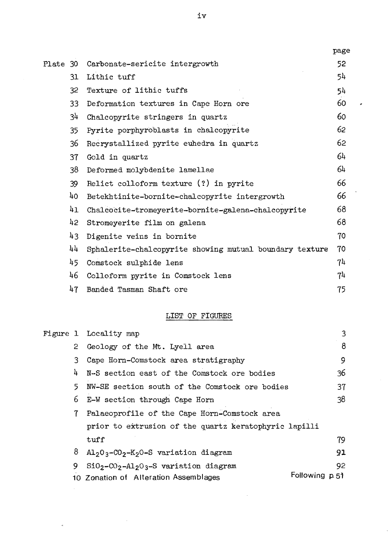|          |                 |                                                         | page |
|----------|-----------------|---------------------------------------------------------|------|
| Plate 30 |                 | Carbonate-sericite intergrowth                          | 52   |
|          | 31              | Lithic tuff                                             | 54.  |
|          | 32              | Texture of lithic tuffs                                 | 54   |
|          | 33              | Deformation textures in Cape Horn ore                   | 60   |
|          | 34              | Chalcopyrite stringers in quartz                        | 60   |
|          | 35              | Pyrite porphyroblasts in chalcopyrite                   | 62   |
|          | 36              | Recrystallized pyrite euhedra in quartz                 | 62   |
|          | 37              | Gold in quartz                                          | 64   |
|          | 38              | Deformed molybdenite lamellae                           | 64   |
|          | 39              | Relict colloform texture (?) in pyrite                  | 66   |
|          | 40 <sub>1</sub> | Betekhtinite-bornite-chalcopyrite intergrowth           | 66   |
|          | 41              | Chalcocite-tromeyerite-bornite-galena-chalcopyrite      | 68   |
|          | 42              | Stromeyerite film on galena                             | 68   |
|          | 43              | Digenite veins in bornite                               | 70   |
|          | 44              | Sphalerite-chalcopyrite showing mutual boundary texture | 70   |
|          | 45              | Comstock sulphide lens                                  | 74   |
|          | 46.             | Colloform pyrite in Comstock lens                       | 74   |
|          | 47              | Banded Tasman Shaft ore                                 | 75   |

,

# LIST OF FIGURES

|  |        | Figure 1 Locality map                                                      |                | 3   |
|--|--------|----------------------------------------------------------------------------|----------------|-----|
|  | $^{2}$ | Geology of the Mt. Lyell area                                              |                | 8   |
|  | 3.     | Cape Horn-Comstock area stratigraphy                                       |                | 9   |
|  | 4      | N-S section east of the Comstock ore bodies                                |                | 36  |
|  | 5.     | NW-SE section south of the Comstock ore bodies                             |                | 37  |
|  | 6.     | E-W section through Cape Horn                                              |                | 38  |
|  | 7      | Palaeoprofile of the Cape Horn-Comstock area                               |                |     |
|  |        | prior to extrusion of the quartz keratophyric lapilli                      |                |     |
|  |        | tuff                                                                       |                | 79. |
|  | 8      | $\text{Al}_2\text{O}_3-\text{CO}_2-\text{K}_2\text{O-S}$ variation diagram |                | 91  |
|  | 9.     | $SiO_2-CO_2-Al_2O_3-S$ variation diagram                                   |                | 92  |
|  |        | 10 Zonation of Alteration Assemblages                                      | Following p.51 |     |

 $\bar{z}$